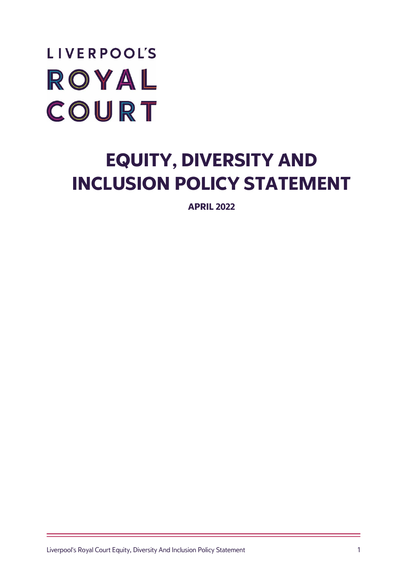# **LIVERPOOL'S** ROYAL COURT

## **EQUITY, DIVERSITY AND INCLUSION POLICY STATEMENT**

**APRIL 2022**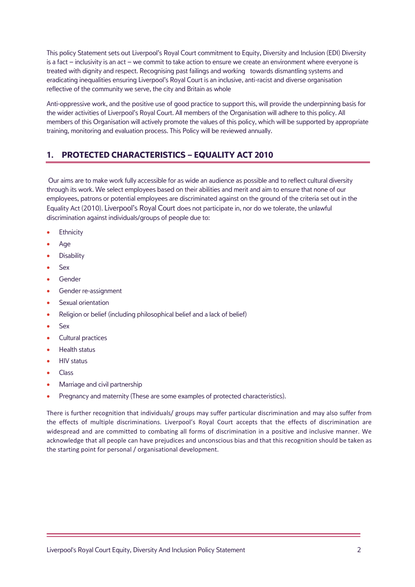This policy Statement sets out Liverpool's Royal Court commitment to Equity, Diversity and Inclusion (EDI) Diversity is a fact – inclusivity is an act – we commit to take action to ensure we create an environment where everyone is treated with dignity and respect. Recognising past failings and working towards dismantling systems and eradicating inequalities ensuring Liverpool's Royal Court is an inclusive, anti-racist and diverse organisation reflective of the community we serve, the city and Britain as whole

Anti-oppressive work, and the positive use of good practice to support this, will provide the underpinning basis for the wider activities of Liverpool's Royal Court. All members of the Organisation will adhere to this policy. All members of this Organisation will actively promote the values of this policy, which will be supported by appropriate training, monitoring and evaluation process. This Policy will be reviewed annually.

### **1. PROTECTED CHARACTERISTICS – EQUALITY ACT 2010**

Our aims are to make work fully accessible for as wide an audience as possible and to reflect cultural diversity through its work. We select employees based on their abilities and merit and aim to ensure that none of our employees, patrons or potential employees are discriminated against on the ground of the criteria set out in the Equality Act (2010). Liverpool's Royal Court does not participate in, nor do we tolerate, the unlawful discrimination against individuals/groups of people due to:

- **Ethnicity**
- Age
- **Disability**
- Sex
- Gender
- Gender re-assignment
- Sexual orientation
- Religion or belief (including philosophical belief and a lack of belief)
- Sex
- Cultural practices
- Health status
- HIV status
- Class
- Marriage and civil partnership
- Pregnancy and maternity (These are some examples of protected characteristics).

There is further recognition that individuals/ groups may suffer particular discrimination and may also suffer from the effects of multiple discriminations. Liverpool's Royal Court accepts that the effects of discrimination are widespread and are committed to combating all forms of discrimination in a positive and inclusive manner. We acknowledge that all people can have prejudices and unconscious bias and that this recognition should be taken as the starting point for personal / organisational development.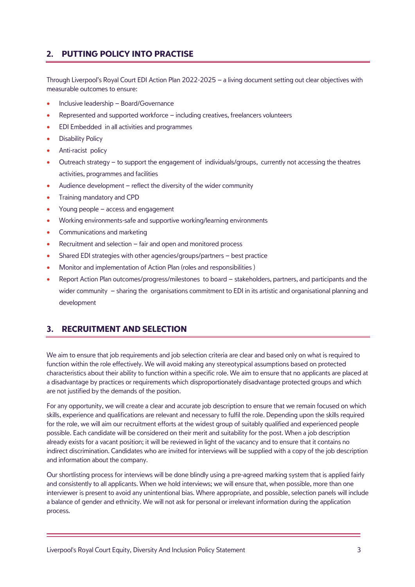#### **2. PUTTING POLICY INTO PRACTISE**

Through Liverpool's Royal Court EDI Action Plan 2022-2025 – a living document setting out clear objectives with measurable outcomes to ensure:

- Inclusive leadership Board/Governance
- Represented and supported workforce including creatives, freelancers volunteers
- EDI Embedded in all activities and programmes
- Disability Policy
- Anti-racist policy
- Outreach strategy to support the engagement of individuals/groups, currently not accessing the theatres activities, programmes and facilities
- Audience development reflect the diversity of the wider community
- Training mandatory and CPD
- Young people access and engagement
- Working environments-safe and supportive working/learning environments
- Communications and marketing
- Recruitment and selection fair and open and monitored process
- Shared EDI strategies with other agencies/groups/partners best practice
- Monitor and implementation of Action Plan (roles and responsibilities )
- Report Action Plan outcomes/progress/milestones to board stakeholders, partners, and participants and the wider community – sharing the organisations commitment to EDI in its artistic and organisational planning and development

#### **3. RECRUITMENT AND SELECTION**

We aim to ensure that job requirements and job selection criteria are clear and based only on what is required to function within the role effectively. We will avoid making any stereotypical assumptions based on protected characteristics about their ability to function within a specific role. We aim to ensure that no applicants are placed at a disadvantage by practices or requirements which disproportionately disadvantage protected groups and which are not justified by the demands of the position.

For any opportunity, we will create a clear and accurate job description to ensure that we remain focused on which skills, experience and qualifications are relevant and necessary to fulfil the role. Depending upon the skills required for the role, we will aim our recruitment efforts at the widest group of suitably qualified and experienced people possible. Each candidate will be considered on their merit and suitability for the post. When a job description already exists for a vacant position; it will be reviewed in light of the vacancy and to ensure that it contains no indirect discrimination. Candidates who are invited for interviews will be supplied with a copy of the job description and information about the company.

Our shortlisting process for interviews will be done blindly using a pre-agreed marking system that is applied fairly and consistently to all applicants. When we hold interviews; we will ensure that, when possible, more than one interviewer is present to avoid any unintentional bias. Where appropriate, and possible, selection panels will include a balance of gender and ethnicity. We will not ask for personal or irrelevant information during the application process.